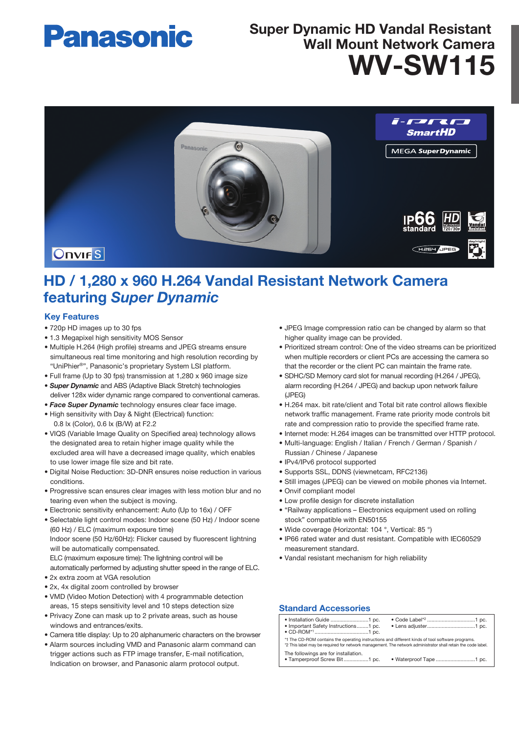# **Panasonic**

# WV-SW115 Super Dynamic HD Vandal Resistant Wall Mount Network Camera



# HD / 1,280 x 960 H.264 Vandal Resistant Network Camera featuring *Super Dynamic*

## Key Features

- 720p HD images up to 30 fps
- 1.3 Megapixel high sensitivity MOS Sensor
- Multiple H.264 (High profile) streams and JPEG streams ensure simultaneous real time monitoring and high resolution recording by "UniPhier®", Panasonic's proprietary System LSI platform.
- Full frame (Up to 30 fps) transmission at 1,280 x 960 image size
- *Super Dynamic* and ABS (Adaptive Black Stretch) technologies deliver 128x wider dynamic range compared to conventional cameras.
- *Face Super Dynamic* technology ensures clear face image.
- High sensitivity with Day & Night (Electrical) function: 0.8 lx (Color), 0.6 lx (B/W) at F2.2
- VIQS (Variable Image Quality on Specified area) technology allows the designated area to retain higher image quality while the excluded area will have a decreased image quality, which enables to use lower image file size and bit rate.
- Digital Noise Reduction: 3D-DNR ensures noise reduction in various conditions.
- Progressive scan ensures clear images with less motion blur and no tearing even when the subject is moving.
- Electronic sensitivity enhancement: Auto (Up to 16x) / OFF
- Selectable light control modes: Indoor scene (50 Hz) / Indoor scene (60 Hz) / ELC (maximum exposure time) Indoor scene (50 Hz/60Hz): Flicker caused by fluorescent lightning will be automatically compensated.
	- ELC (maximum exposure time): The lightning control will be automatically performed by adjusting shutter speed in the range of ELC.
- 2x extra zoom at VGA resolution
- 2x, 4x digital zoom controlled by browser
- VMD (Video Motion Detection) with 4 programmable detection areas, 15 steps sensitivity level and 10 steps detection size
- Privacy Zone can mask up to 2 private areas, such as house windows and entrances/exits.
- Camera title display: Up to 20 alphanumeric characters on the browser
- Alarm sources including VMD and Panasonic alarm command can trigger actions such as FTP image transfer, E-mail notification, Indication on browser, and Panasonic alarm protocol output.
- JPEG Image compression ratio can be changed by alarm so that higher quality image can be provided.
- Prioritized stream control: One of the video streams can be prioritized when multiple recorders or client PCs are accessing the camera so that the recorder or the client PC can maintain the frame rate.
- SDHC/SD Memory card slot for manual recording (H.264 / JPEG), alarm recording (H.264 / JPEG) and backup upon network failure (JPEG)
- H.264 max. bit rate/client and Total bit rate control allows flexible network traffic management. Frame rate priority mode controls bit rate and compression ratio to provide the specified frame rate.
- Internet mode: H.264 images can be transmitted over HTTP protocol.
- Multi-language: English / Italian / French / German / Spanish / Russian / Chinese / Japanese
- IPv4/IPv6 protocol supported
- Supports SSL, DDNS (viewnetcam, RFC2136)
- Still images (JPEG) can be viewed on mobile phones via Internet.
- Onvif compliant model
- Low profile design for discrete installation
- "Railway applications Electronics equipment used on rolling stock" compatible with EN50155
- Wide coverage (Horizontal: 104 °, Vertical: 85 °)
- IP66 rated water and dust resistant. Compatible with IEC60529 measurement standard.
- Vandal resistant mechanism for high reliability

## Standard Accessories

| • Important Safety Instructions1 pc.                                                                                                                                                                             |  |  |  |
|------------------------------------------------------------------------------------------------------------------------------------------------------------------------------------------------------------------|--|--|--|
| *1 The CD-ROM contains the operating instructions and different kinds of tool software programs.<br>*2 This label may be required for network management. The network administrator shall retain the code label. |  |  |  |
| The followings are for installation.<br>• Tamperproof Screw Bit1 pc.                                                                                                                                             |  |  |  |